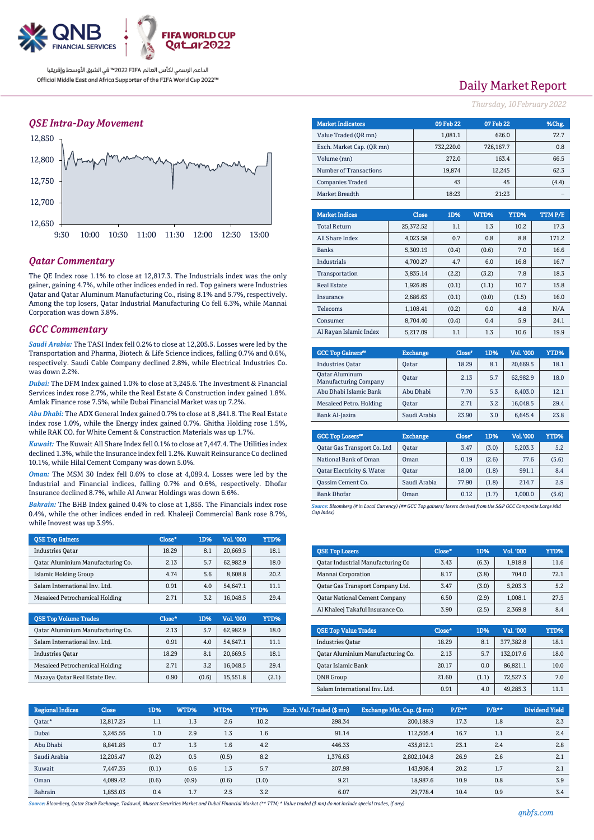

### *QSE Intra-Day Movement*



### *Qatar Commentary*

The QE Index rose 1.1% to close at 12,817.3. The Industrials index was the only gainer, gaining 4.7%, while other indices ended in red. Top gainers were Industries Qatar and Qatar Aluminum Manufacturing Co., rising 8.1% and 5.7%, respectively. Among the top losers, Qatar Industrial Manufacturing Co fell 6.3%, while Mannai Corporation was down 3.8%.

#### *GCC Commentary*

*Saudi Arabia:* The TASI Index fell 0.2% to close at 12,205.5. Losses were led by the Transportation and Pharma, Biotech & Life Science indices, falling 0.7% and 0.6%, respectively. Saudi Cable Company declined 2.8%, while Electrical Industries Co. was down 2.2%.

*Dubai:* The DFM Index gained 1.0% to close at 3,245.6. The Investment & Financial Services index rose 2.7%, while the Real Estate & Construction index gained 1.8%. Amlak Finance rose 7.5%, while Dubai Financial Market was up 7.2%.

*Abu Dhabi:* The ADX General Index gained 0.7% to close at 8 ,841.8. The Real Estate index rose 1.0%, while the Energy index gained 0.7%. Ghitha Holding rose 1.5%, while RAK CO. for White Cement & Construction Materials was up 1.7%.

*Kuwait:* The Kuwait All Share Index fell 0.1% to close at 7,447.4. The Utilities index declined 1.3%, while the Insurance index fell 1.2%. Kuwait Reinsurance Co declined 10.1%, while Hilal Cement Company was down 5.0%.

*Oman:* The MSM 30 Index fell 0.6% to close at 4,089.4. Losses were led by the Industrial and Financial indices, falling 0.7% and 0.6%, respectively. Dhofar Insurance declined 8.7%, while Al Anwar Holdings was down 6.6%.

*Bahrain:* The BHB Index gained 0.4% to close at 1,855. The Financials index rose 0.4%, while the other indices ended in red. Khaleeji Commercial Bank rose 8.7%, while Inovest was up 3.9%.

| <b>OSE Top Gainers</b>                   | Close* | 1D% | Vol. '000 | YTD% |
|------------------------------------------|--------|-----|-----------|------|
| <b>Industries Oatar</b>                  | 18.29  | 8.1 | 20,669.5  | 18.1 |
| <b>Qatar Aluminium Manufacturing Co.</b> | 2.13   | 5.7 | 62.982.9  | 18.0 |
| Islamic Holding Group                    | 4.74   | 5.6 | 8,608.8   | 20.2 |
| Salam International Inv. Ltd.            | 0.91   | 4.0 | 54.647.1  | 11.1 |
| <b>Mesaieed Petrochemical Holding</b>    | 2.71   | 3.2 | 16,048.5  | 29.4 |

| <b>QSE Top Volume Trades</b>             | Close* | 1D%   | Vol. '000 | YTD%  |
|------------------------------------------|--------|-------|-----------|-------|
| <b>Qatar Aluminium Manufacturing Co.</b> | 2.13   | 5.7   | 62.982.9  | 18.0  |
| Salam International Inv. Ltd.            | 0.91   | 4.0   | 54,647.1  | 11.1  |
| <b>Industries Oatar</b>                  | 18.29  | 8.1   | 20.669.5  | 18.1  |
| Mesaieed Petrochemical Holding           | 2.71   | 3.2   | 16.048.5  | 294   |
| Mazaya Qatar Real Estate Dev.            | 0.90   | (0.6) | 15,551.8  | (2.1) |

# Daily Market Report

*Thursday, 10February2022*

| <b>Market Indicators</b>  |          | 09 Feb 22 | 07 Feb 22 |           |        | %Chg. |               |
|---------------------------|----------|-----------|-----------|-----------|--------|-------|---------------|
| Value Traded (OR mn)      |          |           | 1,081.1   |           | 626.0  |       | 72.7          |
| Exch. Market Cap. (OR mn) |          |           | 732,220.0 | 726,167.7 |        |       | 0.8           |
| Volume (mn)               |          |           | 272.0     |           | 163.4  |       | 66.5          |
| Number of Transactions    |          |           | 19,874    |           | 12,245 |       | 62.3          |
| <b>Companies Traded</b>   |          |           |           | 45        |        | (4.4) |               |
| Market Breadth            |          |           | 18:23     |           | 21:23  |       |               |
|                           |          |           |           |           |        |       |               |
| <b>Market Indices</b>     |          | Close     | 1D%       | WTD%      | YTD%   |       | <b>TTMP/E</b> |
| <b>Total Return</b>       |          | 25,372.52 | 1.1       | 1.3       |        | 10.2  | 17.3          |
| All Share Index           |          | 4,023.58  | 0.7       | 0.8       |        | 8.8   | 171.2         |
| <b>Banks</b>              | 5,309.19 |           | (0.4)     | (0.6)     |        | 7.0   | 16.6          |
| Industrials               |          | 4 700 27  | 47        | 60        |        | 16.8  | 167           |

| Industrials            | 4,700.27 | 4.7   | 6.0   | 16.8  | 16.7 |
|------------------------|----------|-------|-------|-------|------|
| Transportation         | 3,835.14 | (2.2) | (3.2) | 7.8   | 18.3 |
| <b>Real Estate</b>     | 1.926.89 | (0.1) | (1.1) | 10.7  | 15.8 |
| Insurance              | 2.686.63 | (0.1) | (0.0) | (1.5) | 16.0 |
| Telecoms               | 1.108.41 | (0.2) | 0.0   | 4.8   | N/A  |
| Consumer               | 8.704.40 | (0.4) | 0.4   | 5.9   | 24.1 |
| Al Ravan Islamic Index | 5.217.09 | 1.1   | 1.3   | 10.6  | 19.9 |

| <b>GCC Top Gainers</b> "                              | <b>Exchange</b> | Close* | 1D% | Vol. '000 | YTD% |
|-------------------------------------------------------|-----------------|--------|-----|-----------|------|
| <b>Industries Qatar</b>                               | Oatar           | 18.29  | 8.1 | 20.669.5  | 18.1 |
| <b>Oatar Aluminum</b><br><b>Manufacturing Company</b> | Oatar           | 2.13   | 5.7 | 62,982.9  | 18.0 |
| Abu Dhabi Islamic Bank                                | Abu Dhabi       | 7.70   | 5.3 | 8.403.0   | 12.1 |
| Mesaieed Petro. Holding                               | Oatar           | 2.71   | 3.2 | 16.048.5  | 29.4 |
| Bank Al-Jazira                                        | Saudi Arabia    | 23.90  | 3.0 | 6.645.4   | 23.8 |

| <b>GCC Top Losers</b> "     | <b>Exchange</b> | Close <sup>®</sup> | 1D%   | Vol.'000 | YTD%  |
|-----------------------------|-----------------|--------------------|-------|----------|-------|
| Qatar Gas Transport Co. Ltd | <b>Oatar</b>    | 3.47               | (3.0) | 5,203.3  | 5.2   |
| National Bank of Oman       | Oman            | 0.19               | (2.6) | 77.6     | (5.6) |
| Oatar Electricity & Water   | Oatar           | 18.00              | (1.8) | 991.1    | 8.4   |
| <b>Qassim Cement Co.</b>    | Saudi Arabia    | 77.90              | (1.8) | 214.7    | 2.9   |
| <b>Bank Dhofar</b>          | Oman            | 0.12               | (1.7) | 1,000.0  | (5.6) |
|                             |                 |                    |       |          |       |

*Source: Bloomberg (# in Local Currency) (## GCC Top gainers/ losers derived from the S&P GCC Composite Large Mid Cap Index)*

| <b>QSE Top Losers</b>                | Close* | 1D%   | Vol. '000 | <b>YTD%</b> |
|--------------------------------------|--------|-------|-----------|-------------|
| Qatar Industrial Manufacturing Co    | 3.43   | (6.3) | 1,918.8   | 11.6        |
| Mannai Corporation                   | 8.17   | (3.8) | 704.0     | 72.1        |
| Qatar Gas Transport Company Ltd.     | 3.47   | (3.0) | 5,203.3   | 5.2         |
| <b>Qatar National Cement Company</b> | 6.50   | (2.9) | 1.008.1   | 27.5        |
| Al Khaleej Takaful Insurance Co.     | 3.90   | (2.5) | 2,369.8   | 8.4         |

| <b>OSE Top Value Trades</b>       | Close* | 1D%   | Val. '000 | YTD% |
|-----------------------------------|--------|-------|-----------|------|
| <b>Industries Oatar</b>           | 18.29  | 8.1   | 377,382.8 | 18.1 |
| Oatar Aluminium Manufacturing Co. | 2.13   | 5.7   | 132.017.6 | 18.0 |
| Qatar Islamic Bank                | 20.17  | 0.0   | 86.821.1  | 10.0 |
| <b>ONB</b> Group                  | 21.60  | (1.1) | 72.527.3  | 7.0  |
| Salam International Inv. Ltd.     | 0.91   | 4.0   | 49.285.3  | 11 1 |

| <b>Regional Indices</b> | <b>Close</b> | 1D%   | WTD%  | MTD%  | YTD%  | Exch. Val. Traded (\$mn) | Exchange Mkt. Cap. (\$mn) | P/E** | $P/B**$ | Dividend Yield |
|-------------------------|--------------|-------|-------|-------|-------|--------------------------|---------------------------|-------|---------|----------------|
| Oatar*                  | 12.817.25    | 1.1   | 1.3   | 2.6   | 10.2  | 298.34                   | 200,188.9                 | 17.3  | 1.8     | 2.3            |
| Dubai                   | 3,245.56     | 1.0   | 2.9   | 1.3   | 1.6   | 91.14                    | 112.505.4                 | 16.7  | 1.1     | 2.4            |
| Abu Dhabi               | 8.841.85     | 0.7   | 1.3   | 1.6   | 4.2   | 446.33                   | 435.812.1                 | 23.1  | 2.4     | 2.8            |
| Saudi Arabia            | 12.205.47    | (0.2) | 0.5   | (0.5) | 8.2   | 1.376.63                 | 2,802,104.8               | 26.9  | 2.6     | 2.1            |
| Kuwait                  | 7.447.35     | (0.1) | 0.6   | 1.3   | 5.7   | 207.98                   | 143.908.4                 | 20.2  | 1.7     | 2.1            |
| Oman                    | 4.089.42     | (0.6) | (0.9) | (0.6) | (1.0) | 9.21                     | 18.987.6                  | 10.9  | 0.8     | 3.9            |
| Bahrain                 | 1.855.03     | 0.4   | 1.7   | 2.5   | 3.2   | 6.07                     | 29,778.4                  | 10.4  | 0.9     | 3.4            |

*Source: Bloomberg, Qatar Stock Exchange, Tadawul, Muscat Securities Market and Dubai Financial Market (\*\* TTM; \* Value traded (\$ mn) do not include special trades, if any)*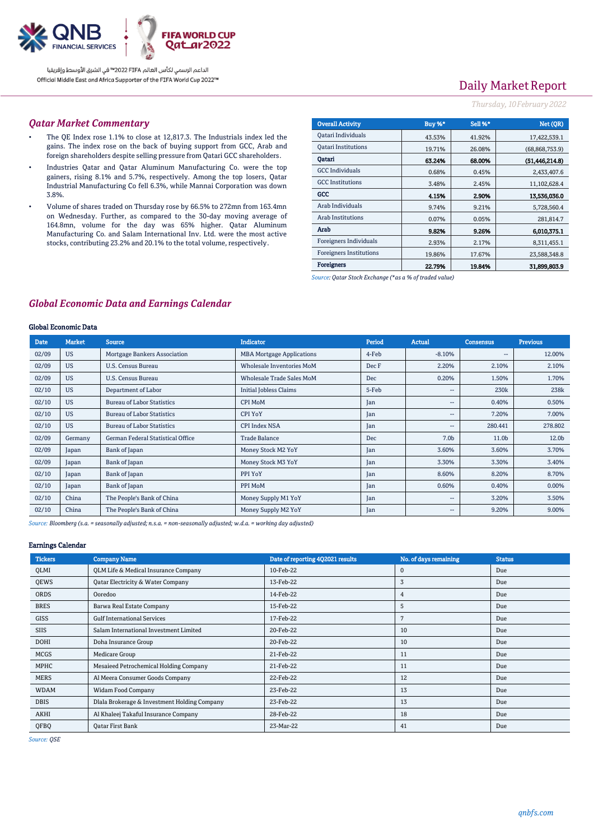

# Daily Market Report

#### *Thursday, 10February2022*

#### *Qatar Market Commentary*

- The QE Index rose 1.1% to close at 12,817.3. The Industrials index led the gains. The index rose on the back of buying support from GCC, Arab and foreign shareholders despite selling pressure from Qatari GCC shareholders.
- Industries Qatar and Qatar Aluminum Manufacturing Co. were the top gainers, rising 8.1% and 5.7%, respectively. Among the top losers, Qatar Industrial Manufacturing Co fell 6.3%, while Mannai Corporation was down 3.8%.
- Volume of shares traded on Thursday rose by 66.5% to 272mn from 163.4mn on Wednesday. Further, as compared to the 30-day moving average of 164.8mn, volume for the day was 65% higher. Qatar Aluminum Manufacturing Co. and Salam International Inv. Ltd. were the most active stocks, contributing 23.2% and 20.1% to the total volume, respectively.

| <b>Overall Activity</b>        | Buy %* | Sell %* | Net (OR)         |
|--------------------------------|--------|---------|------------------|
| Qatari Individuals             | 43.53% | 41.92%  | 17,422,539.1     |
| <b>Oatari Institutions</b>     | 19.71% | 26.08%  | (68, 868, 753.9) |
| Oatari                         | 63.24% | 68.00%  | (51, 446, 214.8) |
| <b>GCC</b> Individuals         | 0.68%  | 0.45%   | 2.433.407.6      |
| <b>GCC</b> Institutions        | 3.48%  | 2.45%   | 11,102,628.4     |
| GCC                            | 4.15%  | 2.90%   | 13,536,036.0     |
| Arab Individuals               | 9.74%  | 9.21%   | 5,728,560.4      |
| Arab Institutions              | 0.07%  | 0.05%   | 281,814.7        |
| Arab                           | 9.82%  | 9.26%   | 6,010,375.1      |
| Foreigners Individuals         | 2.93%  | 2.17%   | 8,311,455.1      |
| <b>Foreigners Institutions</b> | 19.86% | 17.67%  | 23.588.348.8     |
| <b>Foreigners</b>              | 22.79% | 19.84%  | 31,899,803.9     |

*Source: Qatar Stock Exchange (\*as a % of traded value)*

### *Global Economic Data and Earnings Calendar*

#### Global Economic Data

| <b>Date</b> | <b>Market</b> | <b>Source</b>                     | <b>Indicator</b>                 | Period | <b>Actual</b>            | <b>Consensus</b> | <b>Previous</b> |
|-------------|---------------|-----------------------------------|----------------------------------|--------|--------------------------|------------------|-----------------|
| 02/09       | <b>US</b>     | Mortgage Bankers Association      | <b>MBA Mortgage Applications</b> | 4-Feb  | $-8.10%$                 | $- -$            | 12.00%          |
| 02/09       | <b>US</b>     | U.S. Census Bureau                | Wholesale Inventories MoM        | Dec F  | 2.20%                    | 2.10%            | 2.10%           |
| 02/09       | <b>US</b>     | U.S. Census Bureau                | <b>Wholesale Trade Sales MoM</b> | Dec    | 0.20%                    | 1.50%            | 1.70%           |
| 02/10       | <b>US</b>     | Department of Labor               | <b>Initial Jobless Claims</b>    | 5-Feb  | $\overline{\phantom{a}}$ | 230k             | 238k            |
| 02/10       | <b>US</b>     | <b>Bureau of Labor Statistics</b> | <b>CPI MoM</b>                   | Jan    | $\overline{\phantom{a}}$ | 0.40%            | 0.50%           |
| 02/10       | <b>US</b>     | <b>Bureau of Labor Statistics</b> | <b>CPI YoY</b>                   | Jan    | $\overline{\phantom{a}}$ | 7.20%            | 7.00%           |
| 02/10       | <b>US</b>     | <b>Bureau of Labor Statistics</b> | <b>CPI Index NSA</b>             | Jan    | $\overline{\phantom{a}}$ | 280.441          | 278.802         |
| 02/09       | Germany       | German Federal Statistical Office | <b>Trade Balance</b>             | Dec    | 7.0 <sub>b</sub>         | 11.0b            | 12.0b           |
| 02/09       | Japan         | Bank of Japan                     | Money Stock M2 YoY               | Jan    | 3.60%                    | 3.60%            | 3.70%           |
| 02/09       | Japan         | Bank of Japan                     | Money Stock M3 YoY               | Jan    | 3.30%                    | 3.30%            | 3.40%           |
| 02/10       | Japan         | Bank of Japan                     | PPI YoY                          | Jan    | 8.60%                    | 8.20%            | 8.70%           |
| 02/10       | Japan         | Bank of Japan                     | PPI MoM                          | Jan    | 0.60%                    | 0.40%            | 0.00%           |
| 02/10       | China         | The People's Bank of China        | Money Supply M1 YoY              | Jan    | $\overline{\phantom{a}}$ | 3.20%            | 3.50%           |
| 02/10       | China         | The People's Bank of China        | Money Supply M2 YoY              | Jan    | $\overline{\phantom{a}}$ | 9.20%            | 9.00%           |

*Source: Bloomberg (s.a. = seasonally adjusted; n.s.a. = non-seasonally adjusted; w.d.a. = working day adjusted)*

#### Earnings Calendar

| <b>Tickers</b> | <b>Company Name</b>                          | Date of reporting 4Q2021 results | No. of days remaining | <b>Status</b> |
|----------------|----------------------------------------------|----------------------------------|-----------------------|---------------|
| QLMI           | QLM Life & Medical Insurance Company         | 10-Feb-22                        | $\mathbf 0$           | Due           |
| QEWS           | Qatar Electricity & Water Company            | 13-Feb-22                        | 3                     | Due           |
| ORDS           | Ooredoo                                      | 14-Feb-22                        | 4                     | Due           |
| <b>BRES</b>    | <b>Barwa Real Estate Company</b>             | 15-Feb-22                        | 5                     | Due           |
| GISS           | <b>Gulf International Services</b>           | 17-Feb-22                        |                       | Due           |
| SIIS           | Salam International Investment Limited       | 20-Feb-22                        | 10                    | Due           |
| <b>DOHI</b>    | Doha Insurance Group                         | 20-Feb-22                        | 10                    | Due           |
| <b>MCGS</b>    | Medicare Group                               | 21-Feb-22                        | 11                    | Due           |
| MPHC           | Mesaieed Petrochemical Holding Company       | 21-Feb-22                        | 11                    | Due           |
| <b>MERS</b>    | Al Meera Consumer Goods Company              | 22-Feb-22                        | 12                    | Due           |
| <b>WDAM</b>    | Widam Food Company                           | 23-Feb-22                        | 13                    | Due           |
| <b>DBIS</b>    | Dlala Brokerage & Investment Holding Company | 23-Feb-22                        | 13                    | Due           |
| <b>AKHI</b>    | Al Khaleej Takaful Insurance Company         | 28-Feb-22                        | 18                    | Due           |
| QFBQ           | <b>Oatar First Bank</b>                      | 23-Mar-22                        | 41                    | Due           |

*Source: QSE*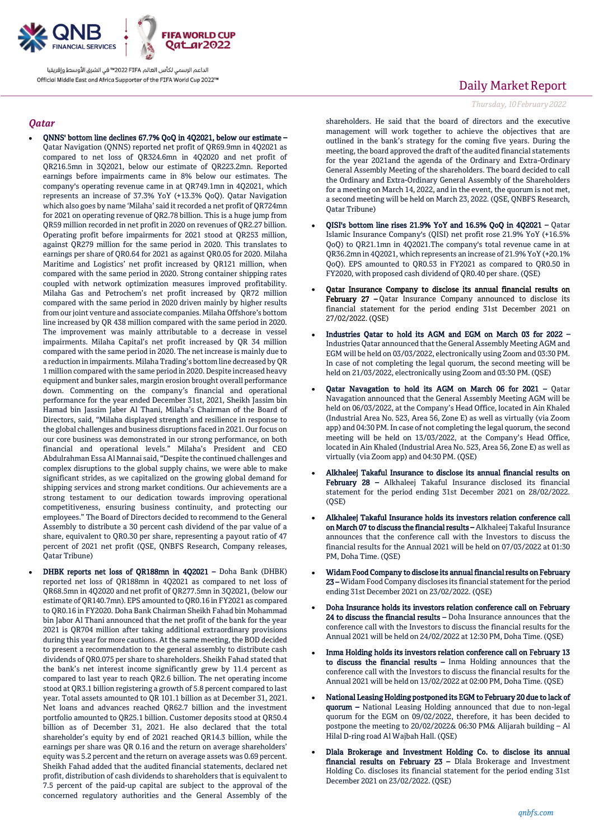

#### *Qatar*

- QNNS' bottom line declines 67.7% QoQ in 4Q2021, below our estimate Qatar Navigation (QNNS) reported net profit of QR69.9mn in 4Q2021 as compared to net loss of QR324.6mn in 4Q2020 and net profit of QR216.5mn in 3Q2021, below our estimate of QR223.2mn. Reported earnings before impairments came in 8% below our estimates. The company's operating revenue came in at QR749.1mn in 4Q2021, which represents an increase of 37.3% YoY (+13.3% QoQ). Qatar Navigation which also goes by name 'Milaha' said it recorded a net profit of QR724mn for 2021 on operating revenue of QR2.78 billion. This is a huge jump from QR59 million recorded in net profit in 2020 on revenues of QR2.27 billion. Operating profit before impairments for 2021 stood at QR253 million, against QR279 million for the same period in 2020. This translates to earnings per share of QR0.64 for 2021 as against QR0.05 for 2020. Milaha Maritime and Logistics' net profit increased by QR121 million, when compared with the same period in 2020. Strong container shipping rates coupled with network optimization measures improved profitability. Milaha Gas and Petrochem's net profit increased by QR72 million compared with the same period in 2020 driven mainly by higher results from our joint venture and associate companies. Milaha Offshore's bottom line increased by QR 438 million compared with the same period in 2020. The improvement was mainly attributable to a decrease in vessel impairments. Milaha Capital's net profit increased by QR 34 million compared with the same period in 2020. The net increase is mainly due to a reduction in impairments. Milaha Trading's bottom line decreased by QR 1 million compared with the same period in 2020. Despite increased heavy equipment and bunker sales, margin erosion brought overall performance down. Commenting on the company's financial and operational performance for the year ended December 31st, 2021, Sheikh Jassim bin Hamad bin Jassim Jaber Al Thani, Milaha's Chairman of the Board of Directors, said, "Milaha displayed strength and resilience in response to the global challenges and business disruptions faced in 2021. Our focus on our core business was demonstrated in our strong performance, on both financial and operational levels." Milaha's President and CEO Abdulrahman Essa Al Mannai said, "Despite the continued challenges and complex disruptions to the global supply chains, we were able to make significant strides, as we capitalized on the growing global demand for shipping services and strong market conditions. Our achievements are a strong testament to our dedication towards improving operational competitiveness, ensuring business continuity, and protecting our employees." The Board of Directors decided to recommend to the General Assembly to distribute a 30 percent cash dividend of the par value of a share, equivalent to QR0.30 per share, representing a payout ratio of 47 percent of 2021 net profit (QSE, QNBFS Research, Company releases, Qatar Tribune)
- DHBK reports net loss of QR188mn in 4Q2021 Doha Bank (DHBK) reported net loss of QR188mn in 4Q2021 as compared to net loss of QR68.5mn in 4Q2020 and net profit of QR277.5mn in 3Q2021, (below our estimate of QR140.7mn). EPS amounted to QR0.16 in FY2021 as compared to QR0.16 in FY2020. Doha Bank Chairman Sheikh Fahad bin Mohammad bin Jabor Al Thani announced that the net profit of the bank for the year 2021 is QR704 million after taking additional extraordinary provisions during this year for more cautions. At the same meeting, the BOD decided to present a recommendation to the general assembly to distribute cash dividends of QR0.075 per share to shareholders. Sheikh Fahad stated that the bank's net interest income significantly grew by 11.4 percent as compared to last year to reach QR2.6 billion. The net operating income stood at QR3.1 billion registering a growth of 5.8 percent compared to last year. Total assets amounted to QR 101.1 billion as at December 31, 2021. Net loans and advances reached QR62.7 billion and the investment portfolio amounted to QR25.1 billion. Customer deposits stood at QR50.4 billion as of December 31, 2021. He also declared that the total shareholder's equity by end of 2021 reached QR14.3 billion, while the earnings per share was QR 0.16 and the return on average shareholders' equity was 5.2 percent and the return on average assets was 0.69 percent. Sheikh Fahad added that the audited financial statements, declared net profit, distribution of cash dividends to shareholders that is equivalent to 7.5 percent of the paid-up capital are subject to the approval of the concerned regulatory authorities and the General Assembly of the

## Daily Market Report

#### *Thursday, 10February2022*

shareholders. He said that the board of directors and the executive management will work together to achieve the objectives that are outlined in the bank's strategy for the coming five years. During the meeting, the board approved the draft of the audited financial statements for the year 2021and the agenda of the Ordinary and Extra-Ordinary General Assembly Meeting of the shareholders. The board decided to call the Ordinary and Extra-Ordinary General Assembly of the Shareholders for a meeting on March 14, 2022, and in the event, the quorum is not met, a second meeting will be held on March 23, 2022. (QSE, QNBFS Research, Qatar Tribune)

- QISI's bottom line rises 21.9% YoY and 16.5% QoQ in 4Q2021 Qatar Islamic Insurance Company's (QISI) net profit rose 21.9% YoY (+16.5% QoQ) to QR21.1mn in 4Q2021.The company's total revenue came in at QR36.2mn in 4Q2021, which represents an increase of 21.9% YoY (+20.1% QoQ). EPS amounted to QR0.53 in FY2021 as compared to QR0.50 in FY2020, with proposed cash dividend of QR0.40 per share. (QSE)
- Qatar Insurance Company to disclose its annual financial results on February 27 - Qatar Insurance Company announced to disclose its financial statement for the period ending 31st December 2021 on 27/02/2022. (QSE)
- Industries Qatar to hold its AGM and EGM on March 03 for 2022 Industries Qatar announced that the General Assembly Meeting AGM and EGM will be held on 03/03/2022, electronically using Zoom and 03:30 PM. In case of not completing the legal quorum, the second meeting will be held on 21/03/2022, electronically using Zoom and 03:30 PM. (QSE)
- Qatar Navagation to hold its AGM on March 06 for 2021 Qatar Navagation announced that the General Assembly Meeting AGM will be held on 06/03/2022, at the Company's Head Office, located in Ain Khaled (Industrial Area No. 523, Area 56, Zone E) as well as virtually (via Zoom app) and 04:30 PM. In case of not completing the legal quorum, the second meeting will be held on 13/03/2022, at the Company's Head Office, located in Ain Khaled (Industrial Area No. 523, Area 56, Zone E) as well as virtually (via Zoom app) and 04:30 PM. (QSE)
- Alkhaleej Takaful Insurance to disclose its annual financial results on February 28 – Alkhaleej Takaful Insurance disclosed its financial statement for the period ending 31st December 2021 on 28/02/2022.  $(OSE)$
- Alkhaleej Takaful Insurance holds its investors relation conference call on March 07 to discuss the financial results – Alkhaleej Takaful Insurance announces that the conference call with the Investors to discuss the financial results for the Annual 2021 will be held on 07/03/2022 at 01:30 PM, Doha Time. (QSE)
- Widam Food Company to disclose its annual financial results on February 23 –Widam Food Company discloses its financial statement for the period ending 31st December 2021 on 23/02/2022. (QSE)
- Doha Insurance holds its investors relation conference call on February 24 to discuss the financial results – Doha Insurance announces that the conference call with the Investors to discuss the financial results for the Annual 2021 will be held on 24/02/2022 at 12:30 PM, Doha Time. (QSE)
- Inma Holding holds its investors relation conference call on February 13 to discuss the financial results – Inma Holding announces that the conference call with the Investors to discuss the financial results for the Annual 2021 will be held on 13/02/2022 at 02:00 PM, Doha Time. (QSE)
- National Leasing Holding postponed its EGM to February 20 due to lack of quorum – National Leasing Holding announced that due to non-legal quorum for the EGM on 09/02/2022, therefore, it has been decided to postpone the meeting to 20/02/2022& 06:30 PM& Alijarah building – Al Hilal D-ring road Al Wajbah Hall. (QSE)
- Dlala Brokerage and Investment Holding Co. to disclose its annual financial results on February 23 - Dlala Brokerage and Investment Holding Co. discloses its financial statement for the period ending 31st December 2021 on 23/02/2022. (QSE)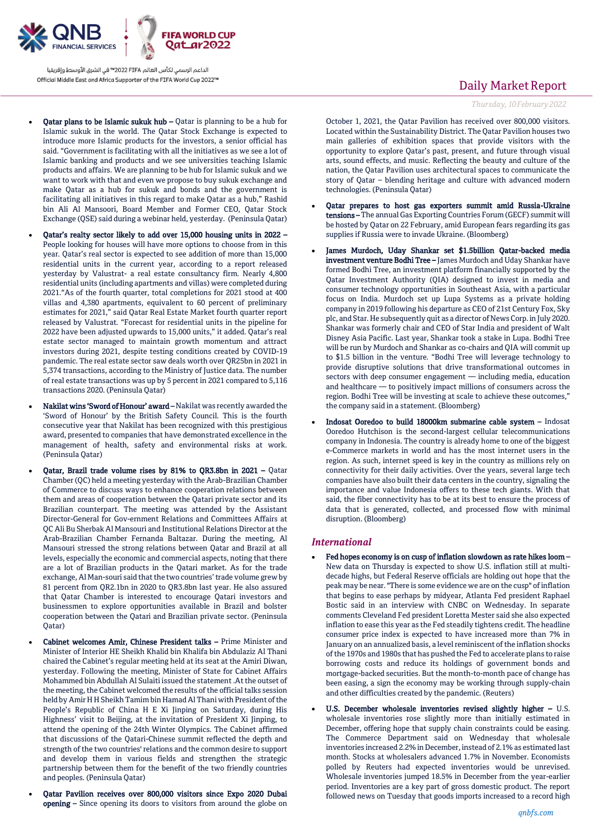

- Qatar plans to be Islamic sukuk hub Qatar is planning to be a hub for Islamic sukuk in the world. The Qatar Stock Exchange is expected to introduce more Islamic products for the investors, a senior official has said. "Government is facilitating with all the initiatives as we see a lot of Islamic banking and products and we see universities teaching Islamic products and affairs. We are planning to be hub for Islamic sukuk and we want to work with that and even we propose to buy sukuk exchange and make Qatar as a hub for sukuk and bonds and the government is facilitating all initiatives in this regard to make Qatar as a hub," Rashid bin Ali Al Mansoori, Board Member and Former CEO, Qatar Stock Exchange (QSE) said during a webinar held, yesterday. (Peninsula Qatar)
- Qatar's realty sector likely to add over 15,000 housing units in 2022 People looking for houses will have more options to choose from in this year. Qatar's real sector is expected to see addition of more than 15,000 residential units in the current year, according to a report released yesterday by Valustrat- a real estate consultancy firm. Nearly 4,800 residential units (including apartments and villas) were completed during 2021."As of the fourth quarter, total completions for 2021 stood at 400 villas and 4,380 apartments, equivalent to 60 percent of preliminary estimates for 2021," said Qatar Real Estate Market fourth quarter report released by Valustrat. "Forecast for residential units in the pipeline for 2022 have been adjusted upwards to 15,000 units," it added. Qatar's real estate sector managed to maintain growth momentum and attract investors during 2021, despite testing conditions created by COVID-19 pandemic. The real estate sector saw deals worth over QR25bn in 2021 in 5,374 transactions, according to the Ministry of Justice data. The number of real estate transactions was up by 5 percent in 2021 compared to 5,116 transactions 2020. (Peninsula Qatar)
- Nakilat wins 'Sword of Honour' award Nakilat was recently awarded the 'Sword of Honour' by the British Safety Council. This is the fourth consecutive year that Nakilat has been recognized with this prestigious award, presented to companies that have demonstrated excellence in the management of health, safety and environmental risks at work. (Peninsula Qatar)
- Qatar, Brazil trade volume rises by 81% to QR3.8bn in 2021 Qatar Chamber (QC) held a meeting yesterday with the Arab-Brazilian Chamber of Commerce to discuss ways to enhance cooperation relations between them and areas of cooperation between the Qatari private sector and its Brazilian counterpart. The meeting was attended by the Assistant Director-General for Gov-ernment Relations and Committees Affairs at QC Ali Bu Sherbak Al Mansouri and Institutional Relations Director at the Arab-Brazilian Chamber Fernanda Baltazar. During the meeting, Al Mansouri stressed the strong relations between Qatar and Brazil at all levels, especially the economic and commercial aspects, noting that there are a lot of Brazilian products in the Qatari market. As for the trade exchange, Al Man-souri said that the two countries' trade volume grew by 81 percent from QR2.1bn in 2020 to QR3.8bn last year. He also assured that Qatar Chamber is interested to encourage Qatari investors and businessmen to explore opportunities available in Brazil and bolster cooperation between the Qatari and Brazilian private sector. (Peninsula Qatar)
- Cabinet welcomes Amir, Chinese President talks Prime Minister and Minister of Interior HE Sheikh Khalid bin Khalifa bin Abdulaziz Al Thani chaired the Cabinet's regular meeting held at its seat at the Amiri Diwan, yesterday. Following the meeting, Minister of State for Cabinet Affairs Mohammed bin Abdullah Al Sulaiti issued the statement .At the outset of the meeting, the Cabinet welcomed the results of the official talks session held by Amir H H Sheikh Tamim bin Hamad Al Thani with President of the People's Republic of China H E Xi Jinping on Saturday, during His Highness' visit to Beijing, at the invitation of President Xi Jinping, to attend the opening of the 24th Winter Olympics. The Cabinet affirmed that discussions of the Qatari-Chinese summit reflected the depth and strength of the two countries' relations and the common desire to support and develop them in various fields and strengthen the strategic partnership between them for the benefit of the two friendly countries and peoples. (Peninsula Qatar)
- Qatar Pavilion receives over 800,000 visitors since Expo 2020 Dubai opening – Since opening its doors to visitors from around the globe on

## Daily Market Report

*Thursday, 10February2022*

October 1, 2021, the Qatar Pavilion has received over 800,000 visitors. Located within the Sustainability District. The Qatar Pavilion houses two main galleries of exhibition spaces that provide visitors with the opportunity to explore Qatar's past, present, and future through visual arts, sound effects, and music. Reflecting the beauty and culture of the nation, the Qatar Pavilion uses architectural spaces to communicate the story of Qatar – blending heritage and culture with advanced modern technologies. (Peninsula Qatar)

- Qatar prepares to host gas exporters summit amid Russia-Ukraine tensions – The annual Gas Exporting Countries Forum (GECF) summit will be hosted by Qatar on 22 February, amid European fears regarding its gas supplies if Russia were to invade Ukraine. (Bloomberg)
- James Murdoch, Uday Shankar set \$1.5billion Qatar-backed media investment venture Bodhi Tree – James Murdoch and Uday Shankar have formed Bodhi Tree, an investment platform financially supported by the Qatar Investment Authority (QIA) designed to invest in media and consumer technology opportunities in Southeast Asia, with a particular focus on India. Murdoch set up Lupa Systems as a private holding company in 2019 following his departure as CEO of 21st Century Fox, Sky plc, and Star. He subsequently quit as a director of News Corp. in July 2020. Shankar was formerly chair and CEO of Star India and president of Walt Disney Asia Pacific. Last year, Shankar took a stake in Lupa. Bodhi Tree will be run by Murdoch and Shankar as co-chairs and QIA will commit up to \$1.5 billion in the venture. "Bodhi Tree will leverage technology to provide disruptive solutions that drive transformational outcomes in sectors with deep consumer engagement — including media, education and healthcare — to positively impact millions of consumers across the region. Bodhi Tree will be investing at scale to achieve these outcomes," the company said in a statement. (Bloomberg)
- Indosat Ooredoo to build 18000km submarine cable system Indosat Ooredoo Hutchison is the second-largest cellular telecommunications company in Indonesia. The country is already home to one of the biggest e-Commerce markets in world and has the most internet users in the region. As such, internet speed is key in the country as millions rely on connectivity for their daily activities. Over the years, several large tech companies have also built their data centers in the country, signaling the importance and value Indonesia offers to these tech giants. With that said, the fiber connectivity has to be at its best to ensure the process of data that is generated, collected, and processed flow with minimal disruption. (Bloomberg)

#### *International*

- Fed hopes economy is on cusp of inflation slowdown as rate hikes loom New data on Thursday is expected to show U.S. inflation still at multidecade highs, but Federal Reserve officials are holding out hope that the peak may be near. "There is some evidence we are on the cusp" of inflation that begins to ease perhaps by midyear, Atlanta Fed president Raphael Bostic said in an interview with CNBC on Wednesday. In separate comments Cleveland Fed president Loretta Mester said she also expected inflation to ease this year as the Fed steadily tightens credit. The headline consumer price index is expected to have increased more than 7% in January on an annualized basis, a level reminiscent of the inflation shocks of the 1970s and 1980s that has pushed the Fed to accelerate plans to raise borrowing costs and reduce its holdings of government bonds and mortgage-backed securities. But the month-to-month pace of change has been easing, a sign the economy may be working through supply-chain and other difficulties created by the pandemic. (Reuters)
- U.S. December wholesale inventories revised slightly higher U.S. wholesale inventories rose slightly more than initially estimated in December, offering hope that supply chain constraints could be easing. The Commerce Department said on Wednesday that wholesale inventories increased 2.2% in December, instead of 2.1% as estimated last month. Stocks at wholesalers advanced 1.7% in November. Economists polled by Reuters had expected inventories would be unrevised. Wholesale inventories jumped 18.5% in December from the year-earlier period. Inventories are a key part of gross domestic product. The report followed news on Tuesday that goods imports increased to a record high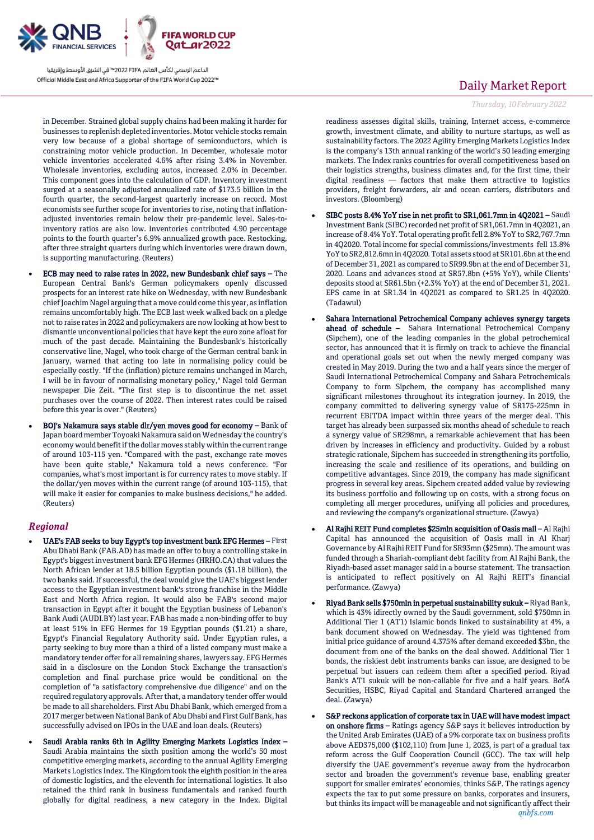

in December. Strained global supply chains had been making it harder for businesses to replenish depleted inventories. Motor vehicle stocks remain very low because of a global shortage of semiconductors, which is constraining motor vehicle production. In December, wholesale motor vehicle inventories accelerated 4.6% after rising 3.4% in November. Wholesale inventories, excluding autos, increased 2.0% in December. This component goes into the calculation of GDP. Inventory investment surged at a seasonally adjusted annualized rate of \$173.5 billion in the fourth quarter, the second-largest quarterly increase on record. Most economists see further scope for inventories to rise, noting that inflationadjusted inventories remain below their pre-pandemic level. Sales-toinventory ratios are also low. Inventories contributed 4.90 percentage points to the fourth quarter's 6.9% annualized growth pace. Restocking, after three straight quarters during which inventories were drawn down, is supporting manufacturing. (Reuters)

- ECB may need to raise rates in 2022, new Bundesbank chief says The European Central Bank's German policymakers openly discussed prospects for an interest rate hike on Wednesday, with new Bundesbank chief Joachim Nagel arguing that a move could come this year, as inflation remains uncomfortably high. The ECB last week walked back on a pledge not to raise rates in 2022 and policymakers are now looking at how best to dismantle unconventional policies that have kept the euro zone afloat for much of the past decade. Maintaining the Bundesbank's historically conservative line, Nagel, who took charge of the German central bank in January, warned that acting too late in normalising policy could be especially costly. "If the (inflation) picture remains unchanged in March, I will be in favour of normalising monetary policy," Nagel told German newspaper Die Zeit. "The first step is to discontinue the net asset purchases over the course of 2022. Then interest rates could be raised before this year is over." (Reuters)
- BOJ's Nakamura says stable dlr/yen moves good for economy Bank of Japan board member Toyoaki Nakamura said on Wednesday the country's economy would benefit if the dollar moves stably within the current range of around 103-115 yen. "Compared with the past, exchange rate moves have been quite stable," Nakamura told a news conference. "For companies, what's most important is for currency rates to move stably. If the dollar/yen moves within the current range (of around 103-115), that will make it easier for companies to make business decisions," he added. (Reuters)

#### *Regional*

- UAE's FAB seeks to buy Egypt's top investment bank EFG Hermes First Abu Dhabi Bank (FAB.AD) has made an offer to buy a controlling stake in Egypt's biggest investment bank EFG Hermes (HRHO.CA) that values the North African lender at 18.5 billion Egyptian pounds (\$1.18 billion), the two banks said. If successful, the deal would give the UAE's biggest lender access to the Egyptian investment bank's strong franchise in the Middle East and North Africa region. It would also be FAB's second major transaction in Egypt after it bought the Egyptian business of Lebanon's Bank Audi (AUDI.BY) last year. FAB has made a non-binding offer to buy at least 51% in EFG Hermes for 19 Egyptian pounds (\$1.21) a share, Egypt's Financial Regulatory Authority said. Under Egyptian rules, a party seeking to buy more than a third of a listed company must make a mandatory tender offer for all remaining shares, lawyers say. EFG Hermes said in a disclosure on the London Stock Exchange the transaction's completion and final purchase price would be conditional on the completion of "a satisfactory comprehensive due diligence" and on the required regulatory approvals. After that, a mandatory tender offer would be made to all shareholders. First Abu Dhabi Bank, which emerged from a 2017 merger between National Bank of Abu Dhabi and First Gulf Bank, has successfully advised on IPOs in the UAE and loan deals. (Reuters)
- Saudi Arabia ranks 6th in Agility Emerging Markets Logistics Index Saudi Arabia maintains the sixth position among the world's 50 most competitive emerging markets, according to the annual Agility Emerging Markets Logistics Index. The Kingdom took the eighth position in the area of domestic logistics, and the eleventh for international logistics. It also retained the third rank in business fundamentals and ranked fourth globally for digital readiness, a new category in the Index. Digital

## Daily Market Report

*Thursday, 10February2022*

readiness assesses digital skills, training, Internet access, e-commerce growth, investment climate, and ability to nurture startups, as well as sustainability factors. The 2022 Agility Emerging Markets Logistics Index is the company's 13th annual ranking of the world's 50 leading emerging markets. The Index ranks countries for overall competitiveness based on their logistics strengths, business climates and, for the first time, their digital readiness — factors that make them attractive to logistics providers, freight forwarders, air and ocean carriers, distributors and investors. (Bloomberg)

- SIBC posts 8.4% YoY rise in net profit to SR1,061.7mn in 4Q2021 Saudi Investment Bank (SIBC) recorded net profit of SR1,061.7mn in 4Q2021, an increase of 8.4% YoY. Total operating profit fell 2.8% YoY to SR2,767.7mn in 4Q2020. Total income for special commissions/investments fell 13.8% YoY to SR2,812.6mn in 4Q2020. Total assets stood at SR101.6bn at the end of December 31, 2021 as compared to SR99.9bn at the end of December 31, 2020. Loans and advances stood at SR57.8bn (+5% YoY), while Clients' deposits stood at SR61.5bn (+2.3% YoY) at the end of December 31, 2021. EPS came in at SR1.34 in 4Q2021 as compared to SR1.25 in 4Q2020. (Tadawul)
- Sahara International Petrochemical Company achieves synergy targets ahead of schedule – Sahara International Petrochemical Company (Sipchem), one of the leading companies in the global petrochemical sector, has announced that it is firmly on track to achieve the financial and operational goals set out when the newly merged company was created in May 2019. During the two and a half years since the merger of Saudi International Petrochemical Company and Sahara Petrochemicals Company to form Sipchem, the company has accomplished many significant milestones throughout its integration journey. In 2019, the company committed to delivering synergy value of SR175-225mn in recurrent EBITDA impact within three years of the merger deal. This target has already been surpassed six months ahead of schedule to reach a synergy value of SR298mn, a remarkable achievement that has been driven by increases in efficiency and productivity. Guided by a robust strategic rationale, Sipchem has succeeded in strengthening its portfolio, increasing the scale and resilience of its operations, and building on competitive advantages. Since 2019, the company has made significant progress in several key areas. Sipchem created added value by reviewing its business portfolio and following up on costs, with a strong focus on completing all merger procedures, unifying all policies and procedures, and reviewing the company's organizational structure. (Zawya)
- Al Rajhi REIT Fund completes \$25mln acquisition of Oasis mall Al Rajhi Capital has announced the acquisition of Oasis mall in Al Kharj Governance by Al Rajhi REIT Fund for SR93mn (\$25mn). The amount was funded through a Shariah-compliant debt facility from Al Rajhi Bank, the Riyadh-based asset manager said in a bourse statement. The transaction is anticipated to reflect positively on Al Rajhi REIT's financial performance. (Zawya)
- Riyad Bank sells \$750mln in perpetual sustainability sukuk Riyad Bank, which is 43% idirectly owned by the Saudi government, sold \$750mn in Additional Tier 1 (AT1) Islamic bonds linked to sustainability at 4%, a bank document showed on Wednesday. The yield was tightened from initial price guidance of around 4.375% after demand exceeded \$3bn, the document from one of the banks on the deal showed. Additional Tier 1 bonds, the riskiest debt instruments banks can issue, are designed to be perpetual but issuers can redeem them after a specified period. Riyad Bank's AT1 sukuk will be non-callable for five and a half years. BofA Securities, HSBC, Riyad Capital and Standard Chartered arranged the deal. (Zawya)
- S&P reckons application of corporate tax in UAE will have modest impact on onshore firms – Ratings agency S&P says it believes introduction by the United Arab Emirates (UAE) of a 9% corporate tax on business profits above AED375,000 (\$102,110) from June 1, 2023, is part of a gradual tax reform across the Gulf Cooperation Council (GCC). The tax will help diversify the UAE government's revenue away from the hydrocarbon sector and broaden the government's revenue base, enabling greater support for smaller emirates' economies, thinks S&P. The ratings agency expects the tax to put some pressure on banks, corporates and insurers, but thinks its impact will be manageable and not significantly affect their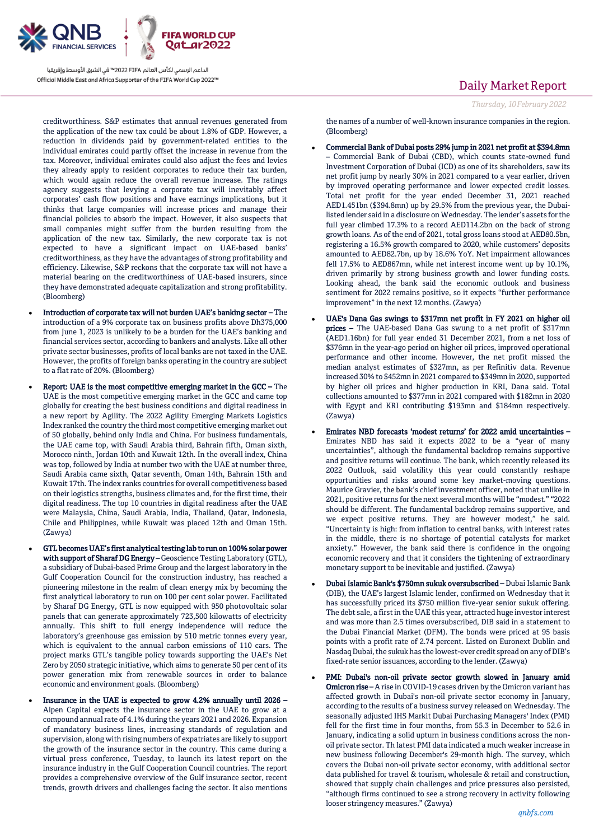

creditworthiness. S&P estimates that annual revenues generated from the application of the new tax could be about 1.8% of GDP. However, a reduction in dividends paid by government-related entities to the individual emirates could partly offset the increase in revenue from the tax. Moreover, individual emirates could also adjust the fees and levies they already apply to resident corporates to reduce their tax burden, which would again reduce the overall revenue increase. The ratings agency suggests that levying a corporate tax will inevitably affect corporates' cash flow positions and have earnings implications, but it thinks that large companies will increase prices and manage their financial policies to absorb the impact. However, it also suspects that small companies might suffer from the burden resulting from the application of the new tax. Similarly, the new corporate tax is not expected to have a significant impact on UAE-based banks' creditworthiness, as they have the advantages of strong profitability and efficiency. Likewise, S&P reckons that the corporate tax will not have a material bearing on the creditworthiness of UAE-based insurers, since they have demonstrated adequate capitalization and strong profitability. (Bloomberg)

- Introduction of corporate tax will not burden UAE's banking sector The introduction of a 9% corporate tax on business profits above Dh375,000 from June 1, 2023 is unlikely to be a burden for the UAE's banking and financial services sector, according to bankers and analysts. Like all other private sector businesses, profits of local banks are not taxed in the UAE. However, the profits of foreign banks operating in the country are subject to a flat rate of 20%. (Bloomberg)
- Report: UAE is the most competitive emerging market in the GCC The UAE is the most competitive emerging market in the GCC and came top globally for creating the best business conditions and digital readiness in a new report by Agility. The 2022 Agility Emerging Markets Logistics Index ranked the country the third most competitive emerging market out of 50 globally, behind only India and China. For business fundamentals, the UAE came top, with Saudi Arabia third, Bahrain fifth, Oman sixth, Morocco ninth, Jordan 10th and Kuwait 12th. In the overall index, China was top, followed by India at number two with the UAE at number three, Saudi Arabia came sixth, Qatar seventh, Oman 14th, Bahrain 15th and Kuwait 17th. The index ranks countries for overall competitiveness based on their logistics strengths, business climates and, for the first time, their digital readiness. The top 10 countries in digital readiness after the UAE were Malaysia, China, Saudi Arabia, India, Thailand, Qatar, Indonesia, Chile and Philippines, while Kuwait was placed 12th and Oman 15th. (Zawya)
- GTL becomes UAE's first analytical testing lab to run on 100% solar power with support of Sharaf DG Energy - Geoscience Testing Laboratory (GTL), a subsidiary of Dubai-based Prime Group and the largest laboratory in the Gulf Cooperation Council for the construction industry, has reached a pioneering milestone in the realm of clean energy mix by becoming the first analytical laboratory to run on 100 per cent solar power. Facilitated by Sharaf DG Energy, GTL is now equipped with 950 photovoltaic solar panels that can generate approximately 723,500 kilowatts of electricity annually. This shift to full energy independence will reduce the laboratory's greenhouse gas emission by 510 metric tonnes every year, which is equivalent to the annual carbon emissions of 110 cars. The project marks GTL's tangible policy towards supporting the UAE's Net Zero by 2050 strategic initiative, which aims to generate 50 per cent of its power generation mix from renewable sources in order to balance economic and environment goals. (Bloomberg)
- Insurance in the UAE is expected to grow 4.2% annually until 2026 Alpen Capital expects the insurance sector in the UAE to grow at a compound annual rate of 4.1% during the years 2021 and 2026. Expansion of mandatory business lines, increasing standards of regulation and supervision, along with rising numbers of expatriates are likely to support the growth of the insurance sector in the country. This came during a virtual press conference, Tuesday, to launch its latest report on the insurance industry in the Gulf Cooperation Council countries. The report provides a comprehensive overview of the Gulf insurance sector, recent trends, growth drivers and challenges facing the sector. It also mentions

## Daily Market Report

the names of a number of well-known insurance companies in the region. (Bloomberg)

- Commercial Bank of Dubai posts 29% jump in 2021 net profit at \$394.8mn – Commercial Bank of Dubai (CBD), which counts state-owned fund Investment Corporation of Dubai (ICD) as one of its shareholders, saw its net profit jump by nearly 30% in 2021 compared to a year earlier, driven by improved operating performance and lower expected credit losses. Total net profit for the year ended December 31, 2021 reached AED1.451bn (\$394.8mn) up by 29.5% from the previous year, the Dubailisted lender said in a disclosure on Wednesday. The lender's assets for the full year climbed 17.3% to a record AED114.2bn on the back of strong growth loans. As of the end of 2021, total gross loans stood at AED80.5bn, registering a 16.5% growth compared to 2020, while customers' deposits amounted to AED82.7bn, up by 18.6% YoY. Net impairment allowances fell 17.5% to AED867mn, while net interest income went up by 10.1%, driven primarily by strong business growth and lower funding costs. Looking ahead, the bank said the economic outlook and business sentiment for 2022 remains positive, so it expects "further performance improvement" in the next 12 months. (Zawya)
- UAE's Dana Gas swings to \$317mn net profit in FY 2021 on higher oil prices – The UAE-based Dana Gas swung to a net profit of \$317mn (AED1.16bn) for full year ended 31 December 2021, from a net loss of \$376mn in the year-ago period on higher oil prices, improved operational performance and other income. However, the net profit missed the median analyst estimates of \$327mn, as per Refinitiv data. Revenue increased 30% to \$452mn in 2021 compared to \$349mn in 2020, supported by higher oil prices and higher production in KRI, Dana said. Total collections amounted to \$377mn in 2021 compared with \$182mn in 2020 with Egypt and KRI contributing \$193mn and \$184mn respectively. (Zawya)
- Emirates NBD forecasts 'modest returns' for 2022 amid uncertainties Emirates NBD has said it expects 2022 to be a "year of many uncertainties", although the fundamental backdrop remains supportive and positive returns will continue. The bank, which recently released its 2022 Outlook, said volatility this year could constantly reshape opportunities and risks around some key market-moving questions. Maurice Gravier, the bank's chief investment officer, noted that unlike in 2021, positive returns for the next several months will be "modest." "2022 should be different. The fundamental backdrop remains supportive, and we expect positive returns. They are however modest," he said. "Uncertainty is high: from inflation to central banks, with interest rates in the middle, there is no shortage of potential catalysts for market anxiety." However, the bank said there is confidence in the ongoing economic recovery and that it considers the tightening of extraordinary monetary support to be inevitable and justified. (Zawya)
- Dubai Islamic Bank's \$750mn sukuk oversubscribed Dubai Islamic Bank (DIB), the UAE's largest Islamic lender, confirmed on Wednesday that it has successfully priced its \$750 million five-year senior sukuk offering. The debt sale, a first in the UAE this year, attracted huge investor interest and was more than 2.5 times oversubscribed, DIB said in a statement to the Dubai Financial Market (DFM). The bonds were priced at 95 basis points with a profit rate of 2.74 percent. Listed on Euronext Dublin and Nasdaq Dubai, the sukuk has the lowest-ever credit spread on any of DIB's fixed-rate senior issuances, according to the lender. (Zawya)
- PMI: Dubai's non-oil private sector growth slowed in January amid **Omicron rise –** A rise in COVID-19 cases driven by the Omicron variant has affected growth in Dubai's non-oil private sector economy in January, according to the results of a business survey released on Wednesday. The seasonally adjusted IHS Markit Dubai Purchasing Managers' Index (PMI) fell for the first time in four months, from 55.3 in December to 52.6 in January, indicating a solid upturn in business conditions across the nonoil private sector. Th latest PMI data indicated a much weaker increase in new business following December's 29-month high. The survey, which covers the Dubai non-oil private sector economy, with additional sector data published for travel & tourism, wholesale & retail and construction, showed that supply chain challenges and price pressures also persisted, "although firms continued to see a strong recovery in activity following looser stringency measures." (Zawya)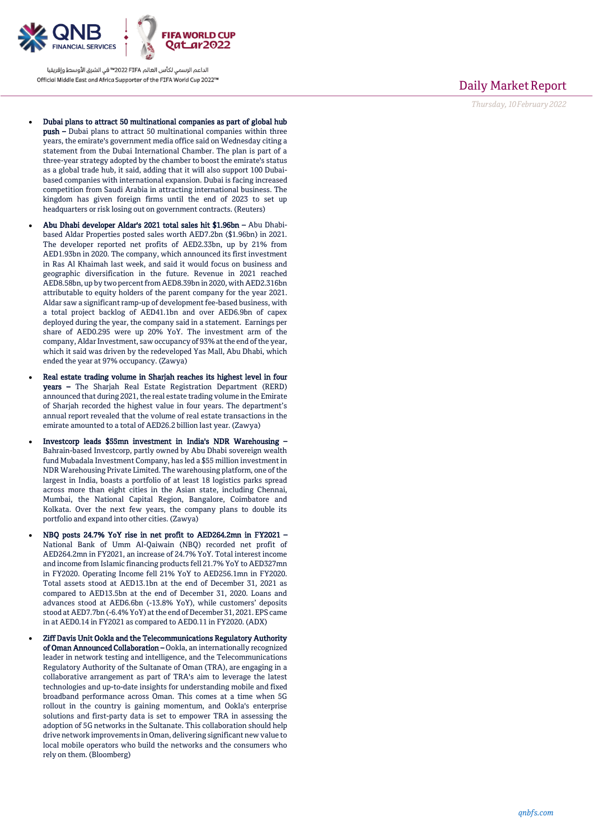

- Dubai plans to attract 50 multinational companies as part of global hub push – Dubai plans to attract 50 multinational companies within three years, the emirate's government media office said on Wednesday citing a statement from the Dubai International Chamber. The plan is part of a three -year strategy adopted by the chamber to boost the emirate's status as a global trade hub, it said, adding that it will also support 100 Dubai based companies with international expansion. Dubai is facing increased competition from Saudi Arabia in attracting international business. The kingdom has given foreign firms until the end of 2023 to set up headquarters or risk losing out on government contracts. (Reuters)
- Abu Dhabi developer Aldar's 2021 total sales hit \$1.96bn Abu Dhabibased Aldar Properties posted sales worth AED7.2bn (\$1.96bn) in 2021. The developer reported net profits of AED2.33bn, up by 21% from AED1.93bn in 2020. The company, which announced its first investment in Ras Al Khaimah last week, and said it would focus on business and geographic diversification in the future. Revenue in 2021 reached AED8.58bn, up by two percent from AED8.39bn in 2020, with AED2.316bn attributable to equity holders of the parent company for the year 2021. Aldar saw a significant ramp -up of development fee -based business, with a total project backlog of AED41.1bn and over AED6.9bn of capex deployed during the year, the company said in a statement. Earnings per share of AED0.295 were up 20% YoY. The investment arm of the company, Aldar Investment, saw occupancy of 93% at the end of the year, which it said was driven by the redeveloped Yas Mall, Abu Dhabi, which ended the year at 97% occupancy. (Zawya)
- Real estate trading volume in Sharjah reaches its highest level in four years – The Sharjah Real Estate Registration Department (RERD) announced that during 2021, the real estate trading volume in the Emirate of Sharjah recorded the highest value in four years. The department's annual report revealed that the volume of real estate transactions in the emirate amounted to a total of AED26.2 billion last year. (Zawya)
- Investcorp leads \$55mn investment in India's NDR Warehousing Bahrain -based Investcorp, partly owned by Abu Dhabi sovereign wealth fund Mubadala Investment Company, has led a \$55 million investment in NDR Warehousing Private Limited. The warehousing platform, one of the largest in India, boasts a portfolio of at least 18 logistics parks spread across more than eight cities in the Asian state, including Chennai, Mumbai, the National Capital Region, Bangalore, Coimbatore and Kolkata. Over the next few years, the company plans to double its portfolio and expand into other cities. (Zawya)
- NBQ posts 24.7% YoY rise in net profit to AED264.2mn in FY2021 National Bank of Umm Al -Qaiwain (NBQ) recorded net profit of AED264.2mn in FY2021, an increase of 24.7% YoY. Total interest income and income from Islamic financing products fell 21.7% YoY to AED327mn in FY2020. Operating Income fell 21% YoY to AED256.1mn in FY2020. Total assets stood at AED13.1bn at the end of December 31, 2021 as compared to AED13.5bn at the end of December 31, 2020. Loans and advances stood at AED6.6bn ( -13.8% YoY), while customers' deposits stood at AED7.7bn ( -6.4% YoY) at the end of December 31, 2021. EPS came in at AED0.14 in FY2021 as compared to AED0.11 in FY2020. (ADX)
- Ziff Davis Unit Ookla and the Telecommunications Regulatory Authority of Oman Announced Collaboration – Ookla, an internationally recognized leader in network testing and intelligence, and the Telecommunications Regulatory Authority of the Sultanate of Oman (TRA), are engaging in a collaborative arrangement as part of TRA's aim to leverage the latest technologies and up -to -date insights for understanding mobile and fixed broadband performance across Oman. This comes at a time when 5G rollout in the country is gaining momentum, and Ookla's enterprise solutions and first -party data is set to empower TRA in assessing the adoption of 5G networks in the Sultanate. This collaboration should help drive network improvements in Oman, delivering significant new value to local mobile operators who build the networks and the consumers who rely on them. (Bloomberg)

## Daily Market Report

*Thursday, 1 0February202 2*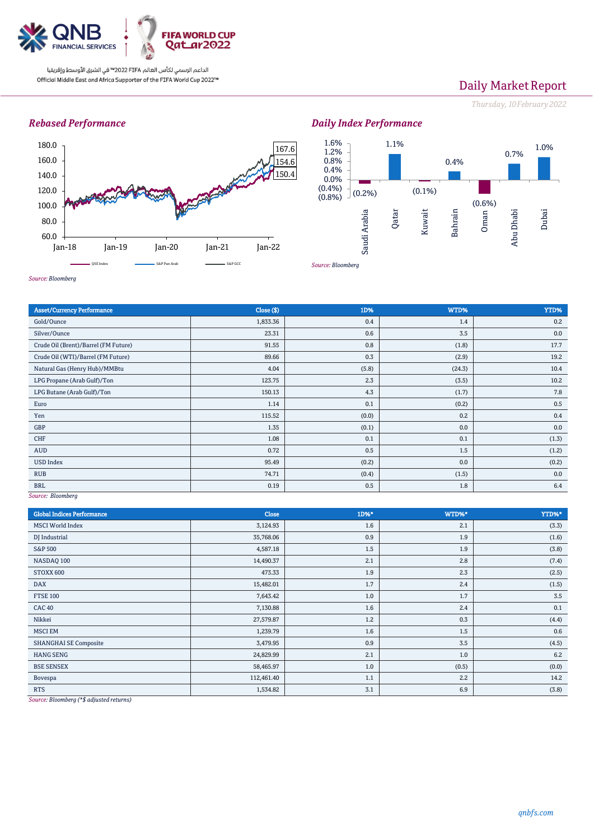

# Daily Market Report

*Thursday, 10February2022*

### *Rebased Performance*



*Source: Bloomberg*





*Source: Bloomberg*

| <b>Asset/Currency Performance</b>    | Close ( \$) | 1D%   | WTD%   | YTD%  |  |  |
|--------------------------------------|-------------|-------|--------|-------|--|--|
| Gold/Ounce                           | 1,833.36    | 0.4   | 1.4    | 0.2   |  |  |
| Silver/Ounce                         | 23.31       | 0.6   | 3.5    | 0.0   |  |  |
| Crude Oil (Brent)/Barrel (FM Future) | 91.55       | 0.8   | (1.8)  | 17.7  |  |  |
| Crude Oil (WTI)/Barrel (FM Future)   | 89.66       | 0.3   | (2.9)  | 19.2  |  |  |
| Natural Gas (Henry Hub)/MMBtu        | 4.04        | (5.8) | (24.3) | 10.4  |  |  |
| LPG Propane (Arab Gulf)/Ton          | 123.75      | 2.3   | (3.5)  | 10.2  |  |  |
| LPG Butane (Arab Gulf)/Ton           | 150.13      | 4.3   | (1.7)  | 7.8   |  |  |
| Euro                                 | 1.14        | 0.1   | (0.2)  | 0.5   |  |  |
| Yen                                  | 115.52      | (0.0) | 0.2    | 0.4   |  |  |
| GBP                                  | 1.35        | (0.1) | 0.0    | 0.0   |  |  |
| <b>CHF</b>                           | 1.08        | 0.1   | 0.1    | (1.3) |  |  |
| <b>AUD</b>                           | 0.72        | 0.5   | 1.5    | (1.2) |  |  |
| <b>USD Index</b>                     | 95.49       | (0.2) | 0.0    | (0.2) |  |  |
| <b>RUB</b>                           | 74.71       | (0.4) | (1.5)  | 0.0   |  |  |
| <b>BRL</b>                           | 0.19        | 0.5   | 1.8    | 6.4   |  |  |
| $COMPROO$ , $Dhomhora$               |             |       |        |       |  |  |

*Source: Bloomberg*

| <b>Global Indices Performance</b>                                                                                                                                                                                                                              | Close      | 1D%* | WTD%* | YTD%* |
|----------------------------------------------------------------------------------------------------------------------------------------------------------------------------------------------------------------------------------------------------------------|------------|------|-------|-------|
| <b>MSCI</b> World Index                                                                                                                                                                                                                                        | 3,124.93   | 1.6  | 2.1   | (3.3) |
| DJ Industrial                                                                                                                                                                                                                                                  | 35,768.06  | 0.9  | 1.9   | (1.6) |
| <b>S&amp;P 500</b>                                                                                                                                                                                                                                             | 4,587.18   | 1.5  | 1.9   | (3.8) |
| NASDAQ 100                                                                                                                                                                                                                                                     | 14,490.37  | 2.1  | 2.8   | (7.4) |
| STOXX 600                                                                                                                                                                                                                                                      | 473.33     | 1.9  | 2.3   | (2.5) |
| <b>DAX</b>                                                                                                                                                                                                                                                     | 15,482.01  | 1.7  | 2.4   | (1.5) |
| <b>FTSE 100</b>                                                                                                                                                                                                                                                | 7,643.42   | 1.0  | 1.7   | 3.5   |
| <b>CAC 40</b>                                                                                                                                                                                                                                                  | 7,130.88   | 1.6  | 2.4   | 0.1   |
| Nikkei                                                                                                                                                                                                                                                         | 27,579.87  | 1.2  | 0.3   | (4.4) |
| <b>MSCI EM</b>                                                                                                                                                                                                                                                 | 1,239.79   | 1.6  | 1.5   | 0.6   |
| <b>SHANGHAI SE Composite</b>                                                                                                                                                                                                                                   | 3,479.95   | 0.9  | 3.5   | (4.5) |
| <b>HANG SENG</b>                                                                                                                                                                                                                                               | 24,829.99  | 2.1  | 1.0   | 6.2   |
| <b>BSE SENSEX</b>                                                                                                                                                                                                                                              | 58,465.97  | 1.0  | (0.5) | (0.0) |
| Bovespa                                                                                                                                                                                                                                                        | 112,461.40 | 1.1  | 2.2   | 14.2  |
| <b>RTS</b><br>the contract of the contract of the contract of the contract of the contract of the contract of the contract of the contract of the contract of the contract of the contract of the contract of the contract of the contract o<br><b>Service</b> | 1,534.82   | 3.1  | 6.9   | (3.8) |

*Source: Bloomberg (\*\$ adjusted returns)*